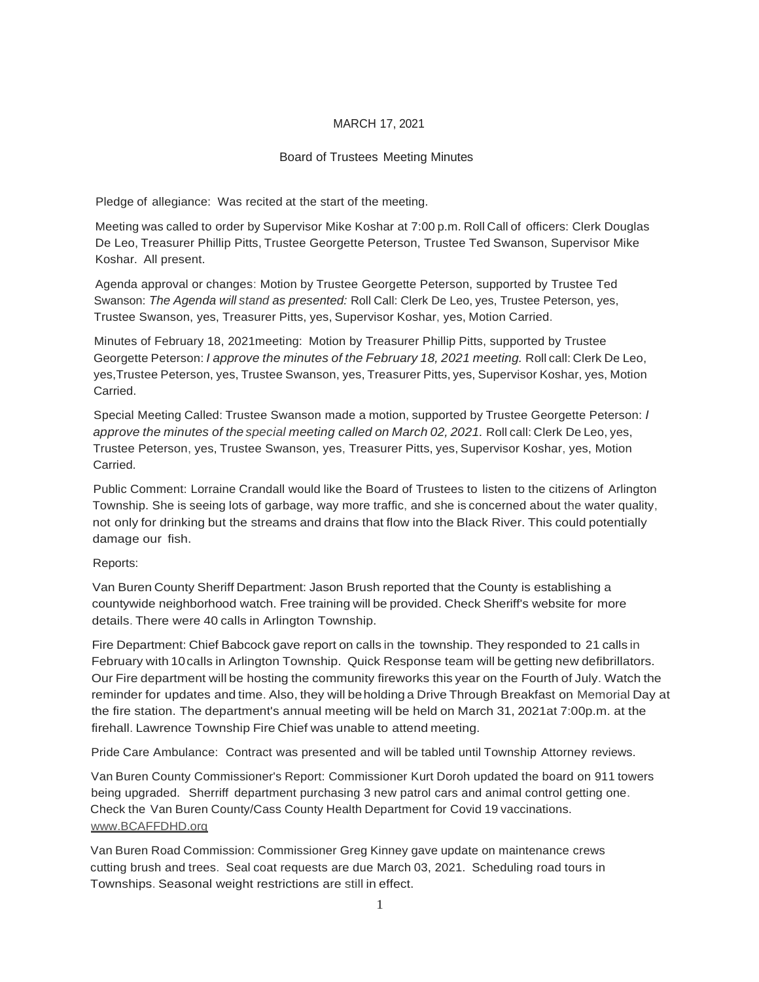# Board of Trustees Meeting Minutes

Pledge of allegiance: Was recited at the start of the meeting.

Meeting was called to order by Supervisor Mike Koshar at 7:00 p.m. Roll Call of officers: Clerk Douglas De Leo, Treasurer Phillip Pitts, Trustee Georgette Peterson, Trustee Ted Swanson, Supervisor Mike Koshar. All present.

Agenda approval or changes: Motion by Trustee Georgette Peterson, supported by Trustee Ted Swanson: *The Agenda will stand as presented:* Roll Call: Clerk De Leo, yes, Trustee Peterson, yes, Trustee Swanson, yes, Treasurer Pitts, yes, Supervisor Koshar, yes, Motion Carried.

Minutes of February 18, 2021meeting: Motion by Treasurer Phillip Pitts, supported by Trustee Georgette Peterson: *I approve the minutes of the February 18, 2021 meeting.* Roll call: Clerk De Leo, yes,Trustee Peterson, yes, Trustee Swanson, yes, Treasurer Pitts, yes, Supervisor Koshar, yes, Motion Carried.

Special Meeting Called: Trustee Swanson made a motion, supported by Trustee Georgette Peterson: *I approve the minutes of the special meeting called on March 02, 2021.* Roll call: Clerk De Leo, yes, Trustee Peterson, yes, Trustee Swanson, yes, Treasurer Pitts, yes, Supervisor Koshar, yes, Motion Carried.

Public Comment: Lorraine Crandall would like the Board of Trustees to listen to the citizens of Arlington Township. She is seeing lots of garbage, way more traffic, and she is concerned about the water quality, not only for drinking but the streams and drains that flow into the Black River. This could potentially damage our fish.

# Reports:

Van Buren County Sheriff Department: Jason Brush reported that the County is establishing a countywide neighborhood watch. Free training will be provided. Check Sheriff's website for more details. There were 40 calls in Arlington Township.

Fire Department: Chief Babcock gave report on calls in the township. They responded to 21 calls in February with 10calls in Arlington Township. Quick Response team will be getting new defibrillators. Our Fire department will be hosting the community fireworks this year on the Fourth of July. Watch the reminder for updates and time. Also, they will beholding a Drive Through Breakfast on Memorial Day at the fire station. The department's annual meeting will be held on March 31, 2021at 7:00p.m. at the firehall. Lawrence Township Fire Chief was unable to attend meeting.

Pride Care Ambulance: Contract was presented and will be tabled until Township Attorney reviews.

Van Buren County Commissioner's Report: Commissioner Kurt Doroh updated the board on 911 towers being upgraded. Sherriff department purchasing 3 new patrol cars and animal control getting one. Check the Van Buren County/Cass County Health Department for Covid 19 vaccinations. [www.BCAFFDHD.org](http://www.bcaffdhd.org/)

Van Buren Road Commission: Commissioner Greg Kinney gave update on maintenance crews cutting brush and trees. Seal coat requests are due March 03, 2021. Scheduling road tours in Townships. Seasonal weight restrictions are still in effect.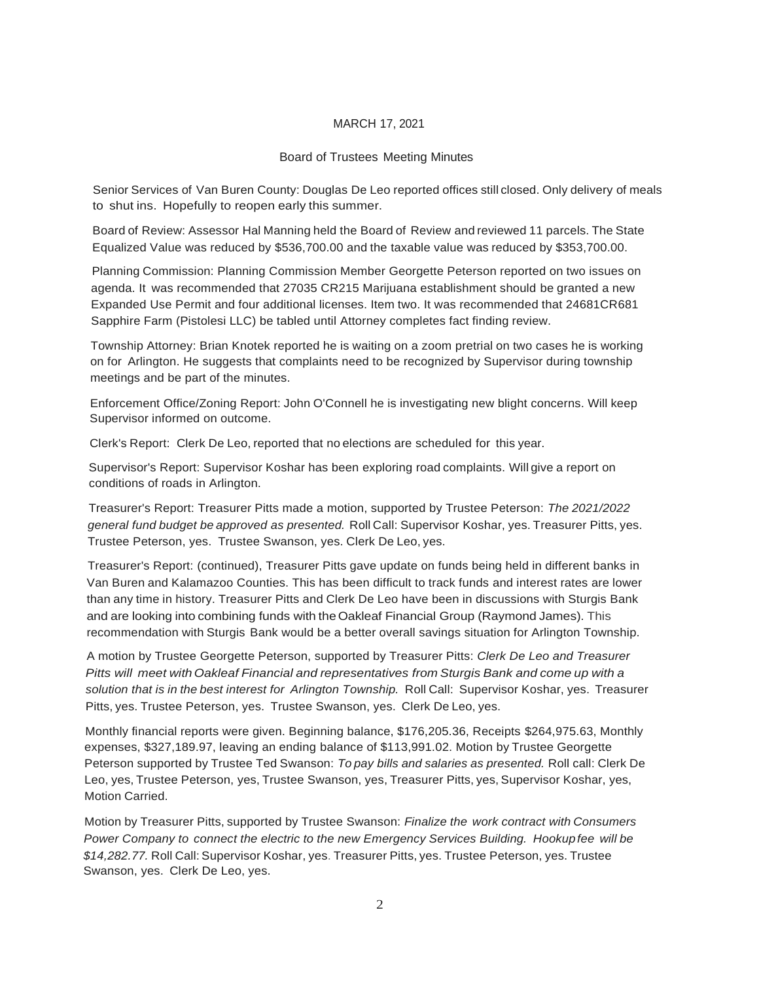### Board of Trustees Meeting Minutes

Senior Services of Van Buren County: Douglas De Leo reported offices still closed. Only delivery of meals to shut ins. Hopefully to reopen early this summer.

Board of Review: Assessor Hal Manning held the Board of Review and reviewed 11 parcels. The State Equalized Value was reduced by \$536,700.00 and the taxable value was reduced by \$353,700.00.

Planning Commission: Planning Commission Member Georgette Peterson reported on two issues on agenda. It was recommended that 27035 CR215 Marijuana establishment should be granted a new Expanded Use Permit and four additional licenses. Item two. It was recommended that 24681CR681 Sapphire Farm (Pistolesi LLC) be tabled until Attorney completes fact finding review.

Township Attorney: Brian Knotek reported he is waiting on a zoom pretrial on two cases he is working on for Arlington. He suggests that complaints need to be recognized by Supervisor during township meetings and be part of the minutes.

Enforcement Office/Zoning Report: John O'Connell he is investigating new blight concerns. Will keep Supervisor informed on outcome.

Clerk's Report: Clerk De Leo, reported that no elections are scheduled for this year.

Supervisor's Report: Supervisor Koshar has been exploring road complaints. Will give a report on conditions of roads in Arlington.

Treasurer's Report: Treasurer Pitts made a motion, supported by Trustee Peterson: *The 2021/2022 general fund budget be approved as presented.* Roll Call: Supervisor Koshar, yes. Treasurer Pitts, yes. Trustee Peterson, yes. Trustee Swanson, yes. Clerk De Leo, yes.

Treasurer's Report: (continued), Treasurer Pitts gave update on funds being held in different banks in Van Buren and Kalamazoo Counties. This has been difficult to track funds and interest rates are lower than any time in history. Treasurer Pitts and Clerk De Leo have been in discussions with Sturgis Bank and are looking into combining funds with the Oakleaf Financial Group (Raymond James). This recommendation with Sturgis Bank would be a better overall savings situation for Arlington Township.

A motion by Trustee Georgette Peterson, supported by Treasurer Pitts: *Clerk De Leo and Treasurer Pitts will meet with Oakleaf Financial and representatives from Sturgis Bank and come up with a solution that is in the best interest for Arlington Township.* Roll Call: Supervisor Koshar, yes. Treasurer Pitts, yes. Trustee Peterson, yes. Trustee Swanson, yes. Clerk De Leo, yes.

Monthly financial reports were given. Beginning balance, \$176,205.36, Receipts \$264,975.63, Monthly expenses, \$327,189.97, leaving an ending balance of \$113,991.02. Motion by Trustee Georgette Peterson supported by Trustee Ted Swanson: *To pay bills and salaries as presented.* Roll call: Clerk De Leo, yes, Trustee Peterson, yes, Trustee Swanson, yes, Treasurer Pitts, yes, Supervisor Koshar, yes, Motion Carried.

Motion by Treasurer Pitts, supported by Trustee Swanson: *Finalize the work contract with Consumers Power Company to connect the electric to the new Emergency Services Building. Hookupfee will be \$14,282.77.* Roll Call: Supervisor Koshar, yes. Treasurer Pitts, yes. Trustee Peterson, yes. Trustee Swanson, yes. Clerk De Leo, yes.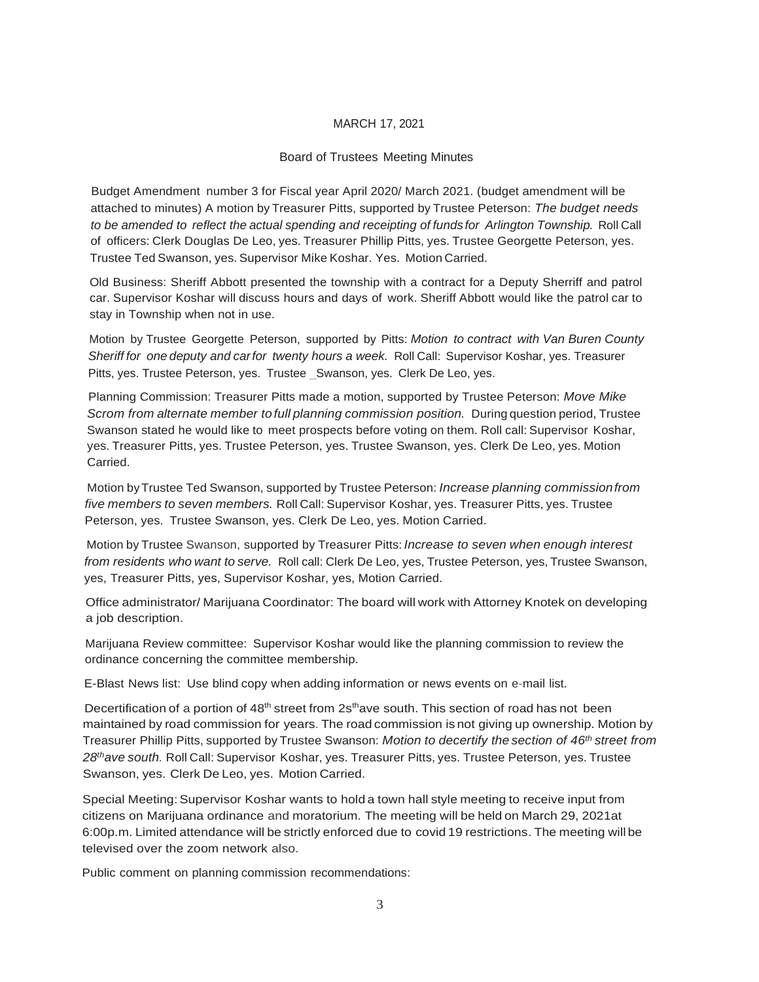### Board of Trustees Meeting Minutes

Budget Amendment number 3 for Fiscal year April 2020/ March 2021. (budget amendment will be attached to minutes) A motion by Treasurer Pitts, supported by Trustee Peterson: *The budget needs to be amended to reflect the actual spending and receipting of funds for Arlington Township.* Roll Call of officers: Clerk Douglas De Leo, yes. Treasurer Phillip Pitts, yes. Trustee Georgette Peterson, yes. Trustee Ted Swanson, yes. Supervisor Mike Koshar. Yes. Motion Carried.

Old Business: Sheriff Abbott presented the township with a contract for a Deputy Sherriff and patrol car. Supervisor Koshar will discuss hours and days of work. Sheriff Abbott would like the patrol car to stay in Township when not in use.

Motion by Trustee Georgette Peterson, supported by Pitts: *Motion to contract with Van Buren County Sheriff for one deputy and carfor twenty hours a week.* Roll Call: Supervisor Koshar, yes. Treasurer Pitts, yes. Trustee Peterson, yes. Trustee \_Swanson, yes. Clerk De Leo, yes.

Planning Commission: Treasurer Pitts made a motion, supported by Trustee Peterson: *Move Mike Scrom from alternate member to full planning commission position.* During question period, Trustee Swanson stated he would like to meet prospects before voting on them. Roll call: Supervisor Koshar, yes. Treasurer Pitts, yes. Trustee Peterson, yes. Trustee Swanson, yes. Clerk De Leo, yes. Motion Carried.

Motion byTrustee Ted Swanson, supported by Trustee Peterson: *Increase planning commissionfrom five members to seven members.* Roll Call: Supervisor Koshar, yes. Treasurer Pitts, yes. Trustee Peterson, yes. Trustee Swanson, yes. Clerk De Leo, yes. Motion Carried.

Motion by Trustee Swanson, supported by Treasurer Pitts: *Increase to seven when enough interest from residents who want to serve.* Roll call: Clerk De Leo, yes, Trustee Peterson, yes, Trustee Swanson, yes, Treasurer Pitts, yes, Supervisor Koshar, yes, Motion Carried.

Office administrator/ Marijuana Coordinator: The board will work with Attorney Knotek on developing a job description.

Marijuana Review committee: Supervisor Koshar would like the planning commission to review the ordinance concerning the committee membership.

E-Blast News list: Use blind copy when adding information or news events on e-mail list.

Decertification of a portion of  $48<sup>th</sup>$  street from  $2s<sup>th</sup>$  ave south. This section of road has not been maintained by road commission for years. The road commission is not giving up ownership. Motion by Treasurer Phillip Pitts, supported by Trustee Swanson: *Motion to decertify the section of 46 th street from 28thave south.* Roll Call: Supervisor Koshar, yes. Treasurer Pitts, yes. Trustee Peterson, yes. Trustee Swanson, yes. Clerk De Leo, yes. Motion Carried.

Special Meeting: Supervisor Koshar wants to hold a town hall style meeting to receive input from citizens on Marijuana ordinance and moratorium. The meeting will be held on March 29, 2021at 6:00p.m. Limited attendance will be strictly enforced due to covid 19 restrictions. The meeting will be televised over the zoom network also.

Public comment on planning commission recommendations: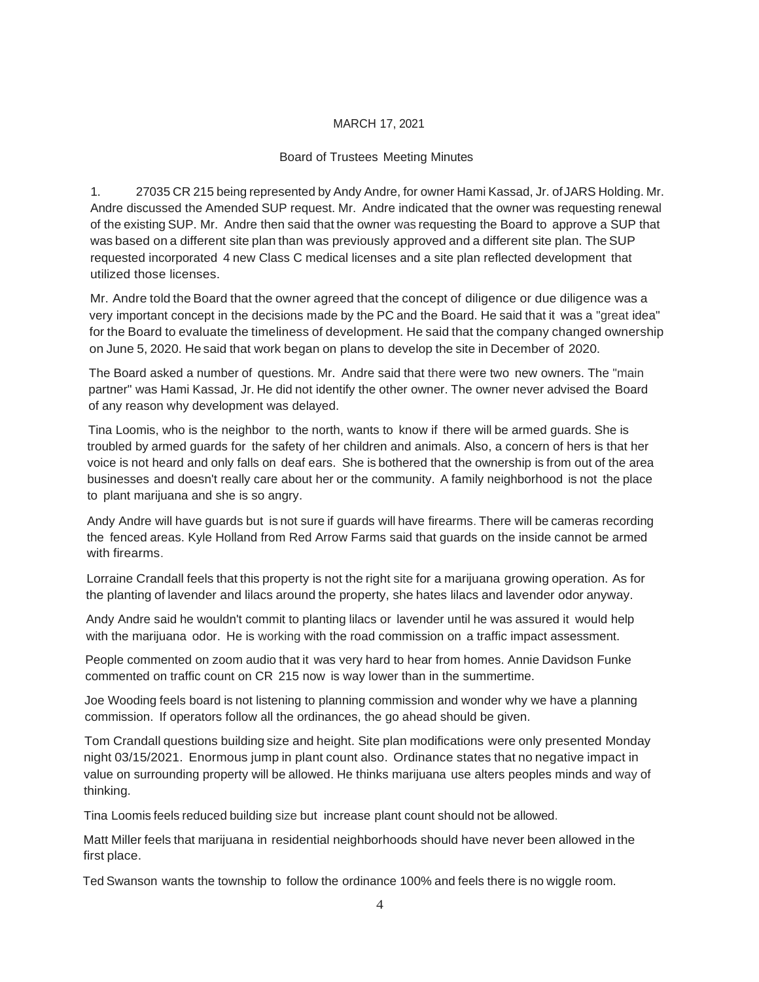# Board of Trustees Meeting Minutes

1. 27035 CR 215 being represented by Andy Andre, for owner Hami Kassad, Jr. ofJARS Holding. Mr. Andre discussed the Amended SUP request. Mr. Andre indicated that the owner was requesting renewal of the existing SUP. Mr. Andre then said that the owner was requesting the Board to approve a SUP that was based on a different site plan than was previously approved and a different site plan. TheSUP requested incorporated 4 new Class C medical licenses and a site plan reflected development that utilized those licenses.

Mr. Andre told the Board that the owner agreed that the concept of diligence or due diligence was a very important concept in the decisions made by the PC and the Board. He said that it was a "great idea" for the Board to evaluate the timeliness of development. He said that the company changed ownership on June 5, 2020. He said that work began on plans to develop the site in December of 2020.

The Board asked a number of questions. Mr. Andre said that there were two new owners. The "main partner" was Hami Kassad, Jr. He did not identify the other owner. The owner never advised the Board of any reason why development was delayed.

Tina Loomis, who is the neighbor to the north, wants to know if there will be armed guards. She is troubled by armed guards for the safety of her children and animals. Also, a concern of hers is that her voice is not heard and only falls on deaf ears. She is bothered that the ownership is from out of the area businesses and doesn't really care about her or the community. A family neighborhood is not the place to plant marijuana and she is so angry.

Andy Andre will have guards but is not sure if guards will have firearms. There will be cameras recording the fenced areas. Kyle Holland from Red Arrow Farms said that guards on the inside cannot be armed with firearms.

Lorraine Crandall feels that this property is not the right site for a marijuana growing operation. As for the planting of lavender and lilacs around the property, she hates lilacs and lavender odor anyway.

Andy Andre said he wouldn't commit to planting lilacs or lavender until he was assured it would help with the marijuana odor. He is working with the road commission on a traffic impact assessment.

People commented on zoom audio that it was very hard to hear from homes. Annie Davidson Funke commented on traffic count on CR 215 now is way lower than in the summertime.

Joe Wooding feels board is not listening to planning commission and wonder why we have a planning commission. If operators follow all the ordinances, the go ahead should be given.

Tom Crandall questions building size and height. Site plan modifications were only presented Monday night 03/15/2021. Enormous jump in plant count also. Ordinance states that no negative impact in value on surrounding property will be allowed. He thinks marijuana use alters peoples minds and way of thinking.

Tina Loomis feels reduced building size but increase plant count should not be allowed.

Matt Miller feels that marijuana in residential neighborhoods should have never been allowed in the first place.

Ted Swanson wants the township to follow the ordinance 100% and feels there is no wiggle room.